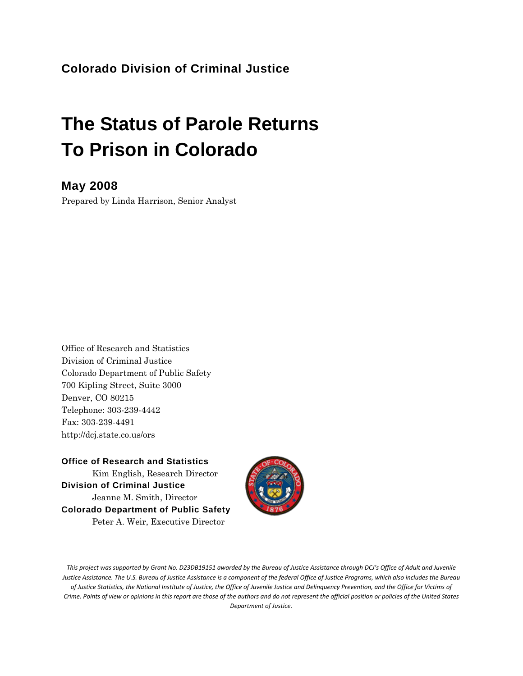### **Colorado Division of Criminal Justice**

# **The Status of Parole Returns To Prison in Colorado**

#### **May 2008**

Prepared by Linda Harrison, Senior Analyst

Office of Research and Statistics Division of Criminal Justice Colorado Department of Public Safety 700 Kipling Street, Suite 3000 Denver, CO 80215 Telephone: 303-239-4442 Fax: 303-239-4491 http://dcj.state.co.us/ors

**Office of Research and Statistics**  Kim English, Research Director **Division of Criminal Justice**  Jeanne M. Smith, Director **Colorado Department of Public Safety**  Peter A. Weir, Executive Director



This project was supported by Grant No. D23DB19151 awarded by the Bureau of Justice Assistance through DCJ's Office of Adult and Juvenile Justice Assistance. The U.S. Bureau of Justice Assistance is a component of the federal Office of Justice Programs, which also includes the Bureau of Justice Statistics, the National Institute of Justice, the Office of Juvenile Justice and Delinquency Prevention, and the Office for Victims of Crime. Points of view or opinions in this report are those of the authors and do not represent the official position or policies of the United States *Department of Justice.*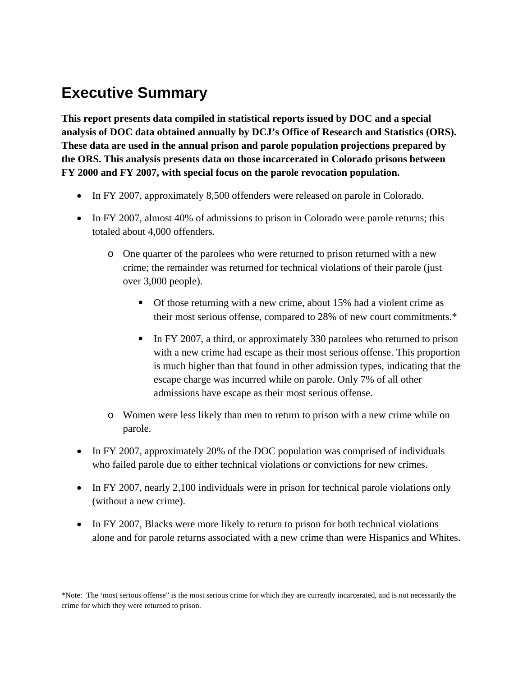## **Executive Summary**

**This report presents data compiled in statistical reports issued by DOC and a special analysis of DOC data obtained annually by DCJ's Office of Research and Statistics (ORS). These data are used in the annual prison and parole population projections prepared by the ORS. This analysis presents data on those incarcerated in Colorado prisons between FY 2000 and FY 2007, with special focus on the parole revocation population.** 

- In FY 2007, approximately 8,500 offenders were released on parole in Colorado.
- In FY 2007, almost 40% of admissions to prison in Colorado were parole returns; this totaled about 4,000 offenders.
	- o One quarter of the parolees who were returned to prison returned with a new crime; the remainder was returned for technical violations of their parole (just over 3,000 people).
		- Of those returning with a new crime, about 15% had a violent crime as their most serious offense, compared to 28% of new court commitments.\*
		- In FY 2007, a third, or approximately 330 parolees who returned to prison with a new crime had escape as their most serious offense. This proportion is much higher than that found in other admission types, indicating that the escape charge was incurred while on parole. Only 7% of all other admissions have escape as their most serious offense.
	- o Women were less likely than men to return to prison with a new crime while on parole.
- In FY 2007, approximately 20% of the DOC population was comprised of individuals who failed parole due to either technical violations or convictions for new crimes.
- In FY 2007, nearly 2,100 individuals were in prison for technical parole violations only (without a new crime).
- In FY 2007, Blacks were more likely to return to prison for both technical violations alone and for parole returns associated with a new crime than were Hispanics and Whites.

\*Note: The 'most serious offense" is the most serious crime for which they are currently incarcerated, and is not necessarily the crime for which they were returned to prison.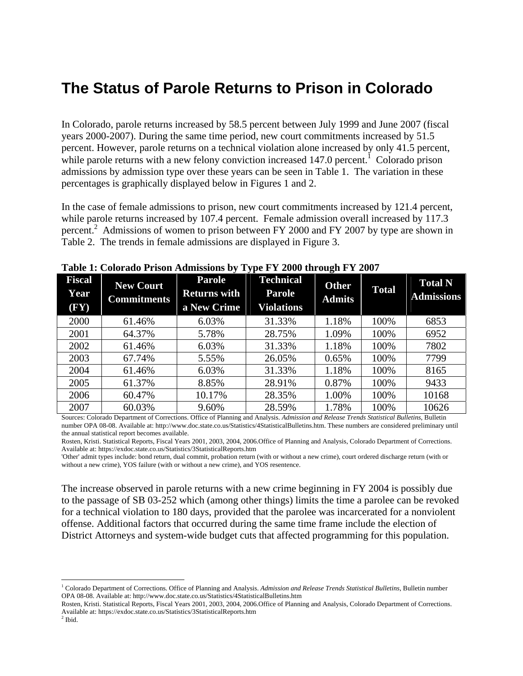## **The Status of Parole Returns to Prison in Colorado**

In Colorado, parole returns increased by 58.5 percent between July 1999 and June 2007 (fiscal years 2000-2007). During the same time period, new court commitments increased by 51.5 percent. However, parole returns on a technical violation alone increased by only 41.5 percent, while parole returns with a new felony conviction increased  $147.0$  percent.<sup>1</sup> Colorado prison admissions by admission type over these years can be seen in Table 1. The variation in these percentages is graphically displayed below in Figures 1 and 2.

In the case of female admissions to prison, new court commitments increased by 121.4 percent, while parole returns increased by 107.4 percent. Female admission overall increased by 117.3 percent.<sup>2</sup> Admissions of women to prison between FY 2000 and FY 2007 by type are shown in Table 2. The trends in female admissions are displayed in Figure 3.

| <b>Fiscal</b><br>Year<br>$(\mathbf{F}\mathbf{Y})$ | <b>New Court</b><br><b>Commitments</b> | <b>Parole</b><br><b>Returns with</b><br>a New Crime | <b>Technical</b><br><b>Parole</b><br><b>Violations</b> | <b>Other</b><br><b>Admits</b> | <b>Total</b> | <b>Total N</b><br><b>Admissions</b> |
|---------------------------------------------------|----------------------------------------|-----------------------------------------------------|--------------------------------------------------------|-------------------------------|--------------|-------------------------------------|
| 2000                                              | 61.46%                                 | 6.03%                                               | 31.33%                                                 | 1.18%                         | 100%         | 6853                                |
| 2001                                              | 64.37%                                 | 5.78%                                               | 28.75%                                                 | 1.09%                         | 100%         | 6952                                |
| 2002                                              | 61.46%                                 | 6.03%                                               | 31.33%                                                 | 1.18%                         | 100%         | 7802                                |
| 2003                                              | 67.74%                                 | 5.55%                                               | 26.05%                                                 | 0.65%                         | 100%         | 7799                                |
| 2004                                              | 61.46%                                 | 6.03%                                               | 31.33%                                                 | 1.18%                         | 100%         | 8165                                |
| 2005                                              | 61.37%                                 | 8.85%                                               | 28.91%                                                 | 0.87%                         | 100%         | 9433                                |
| 2006                                              | 60.47%                                 | 10.17%                                              | 28.35%                                                 | 1.00%                         | 100%         | 10168                               |
| 2007                                              | 60.03%                                 | 9.60%                                               | 28.59%                                                 | 1.78%                         | 100%         | 10626                               |

**Table 1: Colorado Prison Admissions by Type FY 2000 through FY 2007**

Sources: Colorado Department of Corrections. Office of Planning and Analysis. *Admission and Release Trends Statistical Bulletins*, Bulletin number OPA 08-08. Available at: http://www.doc.state.co.us/Statistics/4StatisticalBulletins.htm. These numbers are considered preliminary until the annual statistical report becomes available.

Rosten, Kristi. Statistical Reports, Fiscal Years 2001, 2003, 2004, 2006.Office of Planning and Analysis, Colorado Department of Corrections. Available at: https://exdoc.state.co.us/Statistics/3StatisticalReports.htm

'Other' admit types include: bond return, dual commit, probation return (with or without a new crime), court ordered discharge return (with or without a new crime), YOS failure (with or without a new crime), and YOS resentence.

The increase observed in parole returns with a new crime beginning in FY 2004 is possibly due to the passage of SB 03-252 which (among other things) limits the time a parolee can be revoked for a technical violation to 180 days, provided that the parolee was incarcerated for a nonviolent offense. Additional factors that occurred during the same time frame include the election of District Attorneys and system-wide budget cuts that affected programming for this population.

 <sup>1</sup> Colorado Department of Corrections. Office of Planning and Analysis. Admission and Release Trends Statistical Bulletins, Bulletin number OPA 08-08. Available at: http://www.doc.state.co.us/Statistics/4StatisticalBulletins.htm

Rosten, Kristi. Statistical Reports, Fiscal Years 2001, 2003, 2004, 2006.Office of Planning and Analysis, Colorado Department of Corrections. Available at: https://exdoc.state.co.us/Statistics/3StatisticalReports.htm 2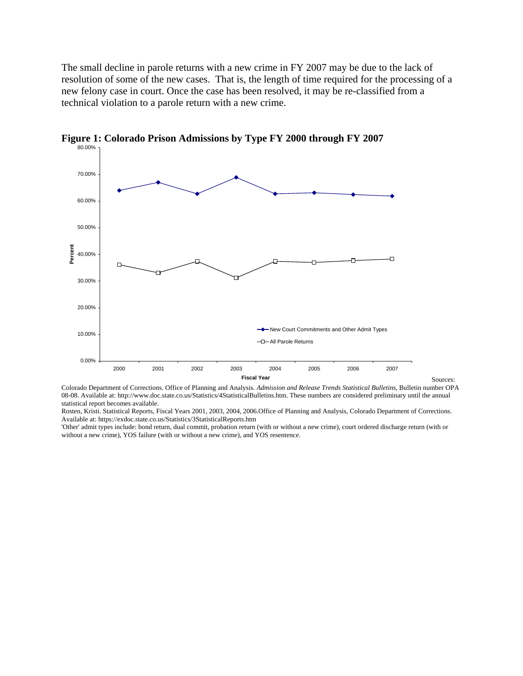The small decline in parole returns with a new crime in FY 2007 may be due to the lack of resolution of some of the new cases. That is, the length of time required for the processing of a new felony case in court. Once the case has been resolved, it may be re-classified from a technical violation to a parole return with a new crime.



**Figure 1: Colorado Prison Admissions by Type FY 2000 through FY 2007**

Colorado Department of Corrections. Office of Planning and Analysis. *Admission and Release Trends Statistical Bulletins*, Bulletin number OPA 08-08. Available at: http://www.doc.state.co.us/Statistics/4StatisticalBulletins.htm. These numbers are considered preliminary until the annual statistical report becomes available.

Rosten, Kristi. Statistical Reports, Fiscal Years 2001, 2003, 2004, 2006.Office of Planning and Analysis, Colorado Department of Corrections. Available at: https://exdoc.state.co.us/Statistics/3StatisticalReports.htm

'Other' admit types include: bond return, dual commit, probation return (with or without a new crime), court ordered discharge return (with or without a new crime), YOS failure (with or without a new crime), and YOS resentence.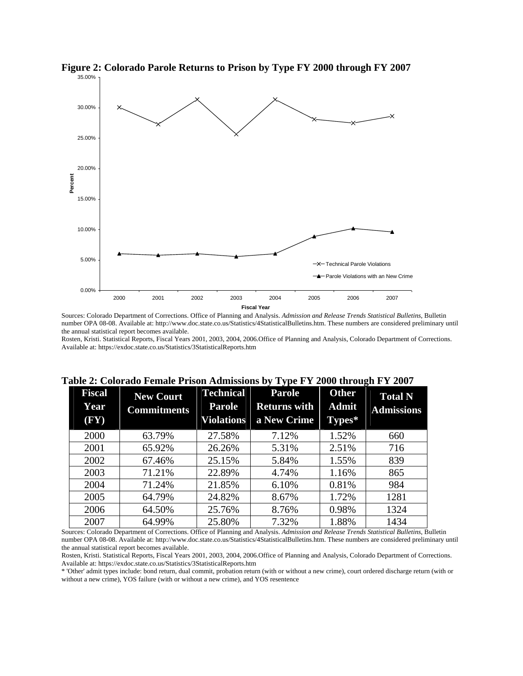



Sources: Colorado Department of Corrections. Office of Planning and Analysis. *Admission and Release Trends Statistical Bulletins*, Bulletin number OPA 08-08. Available at: http://www.doc.state.co.us/Statistics/4StatisticalBulletins.htm. These numbers are considered preliminary until the annual statistical report becomes available.

Rosten, Kristi. Statistical Reports, Fiscal Years 2001, 2003, 2004, 2006.Office of Planning and Analysis, Colorado Department of Corrections. Available at: https://exdoc.state.co.us/Statistics/3StatisticalReports.htm

| able 2. Colorado Female I rison Admissions by Type FT 2000 un ough FT 2007 |                                        |                                                        |                                                     |                                        |                                     |  |  |
|----------------------------------------------------------------------------|----------------------------------------|--------------------------------------------------------|-----------------------------------------------------|----------------------------------------|-------------------------------------|--|--|
| <b>Fiscal</b><br>Year<br>$(\mathbf{F}\mathbf{Y})$                          | <b>New Court</b><br><b>Commitments</b> | <b>Technical</b><br><b>Parole</b><br><b>Violations</b> | <b>Parole</b><br><b>Returns with</b><br>a New Crime | <b>Other</b><br><b>Admit</b><br>Types* | <b>Total N</b><br><b>Admissions</b> |  |  |
| 2000                                                                       | 63.79%                                 | 27.58%                                                 | 7.12%                                               | 1.52%                                  | 660                                 |  |  |
| 2001                                                                       | 65.92%                                 | 26.26%                                                 | 5.31%                                               | 2.51%                                  | 716                                 |  |  |
| 2002                                                                       | 67.46%                                 | 25.15%                                                 | 5.84%                                               | 1.55%                                  | 839                                 |  |  |
| 2003                                                                       | 71.21%                                 | 22.89%                                                 | 4.74%                                               | 1.16%                                  | 865                                 |  |  |
| 2004                                                                       | 71.24%                                 | 21.85%                                                 | 6.10%                                               | 0.81%                                  | 984                                 |  |  |
| 2005                                                                       | 64.79%                                 | 24.82%                                                 | 8.67%                                               | 1.72%                                  | 1281                                |  |  |
| 2006                                                                       | 64.50%                                 | 25.76%                                                 | 8.76%                                               | 0.98%                                  | 1324                                |  |  |
| 2007                                                                       | 64.99%                                 | 25.80%                                                 | 7.32%                                               | 1.88%                                  | 1434                                |  |  |

| Table 2: Colorado Female Prison Admissions by Type FY 2000 through FY 2007 |  |  |  |  |  |  |  |  |  |  |  |  |  |  |  |  |  |  |  |
|----------------------------------------------------------------------------|--|--|--|--|--|--|--|--|--|--|--|--|--|--|--|--|--|--|--|
|----------------------------------------------------------------------------|--|--|--|--|--|--|--|--|--|--|--|--|--|--|--|--|--|--|--|

Sources: Colorado Department of Corrections. Office of Planning and Analysis. *Admission and Release Trends Statistical Bulletins*, Bulletin number OPA 08-08. Available at: http://www.doc.state.co.us/Statistics/4StatisticalBulletins.htm. These numbers are considered preliminary until the annual statistical report becomes available.

Rosten, Kristi. Statistical Reports, Fiscal Years 2001, 2003, 2004, 2006.Office of Planning and Analysis, Colorado Department of Corrections. Available at: https://exdoc.state.co.us/Statistics/3StatisticalReports.htm

\* 'Other' admit types include: bond return, dual commit, probation return (with or without a new crime), court ordered discharge return (with or without a new crime), YOS failure (with or without a new crime), and YOS resentence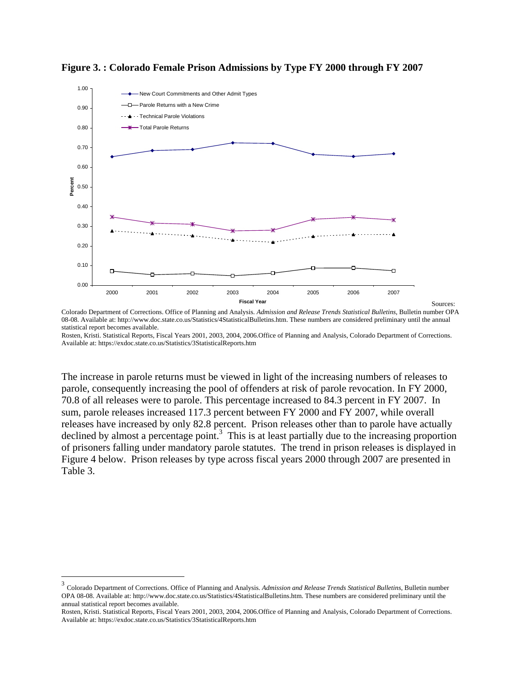



Colorado Department of Corrections. Office of Planning and Analysis. *Admission and Release Trends Statistical Bulletins*, Bulletin number OPA 08-08. Available at: http://www.doc.state.co.us/Statistics/4StatisticalBulletins.htm. These numbers are considered preliminary until the annual statistical report becomes available.

Rosten, Kristi. Statistical Reports, Fiscal Years 2001, 2003, 2004, 2006.Office of Planning and Analysis, Colorado Department of Corrections. Available at: https://exdoc.state.co.us/Statistics/3StatisticalReports.htm

The increase in parole returns must be viewed in light of the increasing numbers of releases to parole, consequently increasing the pool of offenders at risk of parole revocation. In FY 2000, 70.8 of all releases were to parole. This percentage increased to 84.3 percent in FY 2007. In sum, parole releases increased 117.3 percent between FY 2000 and FY 2007, while overall releases have increased by only 82.8 percent. Prison releases other than to parole have actually declined by almost a percentage point.<sup>3</sup> This is at least partially due to the increasing proportion of prisoners falling under mandatory parole statutes. The trend in prison releases is displayed in Figure 4 below. Prison releases by type across fiscal years 2000 through 2007 are presented in Table 3.

<sup>3</sup> Colorado Department of Corrections. Office of Planning and Analysis. *Admission and Release Trends Statistical Bulletins*, Bulletin number OPA 08-08. Available at: http://www.doc.state.co.us/Statistics/4StatisticalBulletins.htm. These numbers are considered preliminary until the annual statistical report becomes available.

Rosten, Kristi. Statistical Reports, Fiscal Years 2001, 2003, 2004, 2006.Office of Planning and Analysis, Colorado Department of Corrections. Available at: https://exdoc.state.co.us/Statistics/3StatisticalReports.htm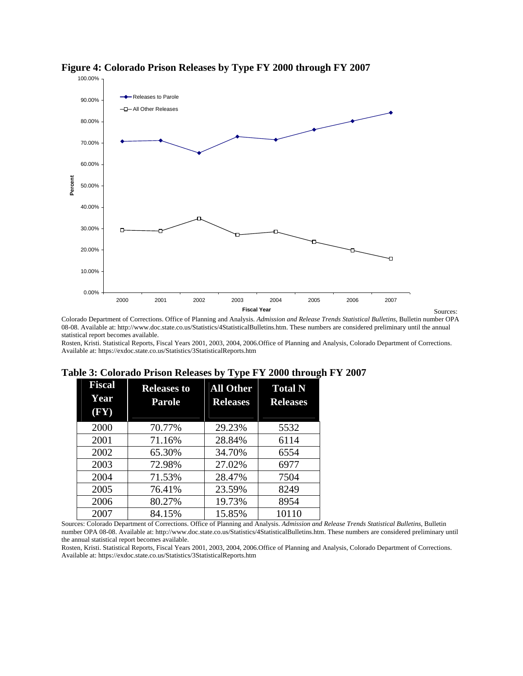



Colorado Department of Corrections. Office of Planning and Analysis. *Admission and Release Trends Statistical Bulletins*, Bulletin number OPA 08-08. Available at: http://www.doc.state.co.us/Statistics/4StatisticalBulletins.htm. These numbers are considered preliminary until the annual statistical report becomes available.

Rosten, Kristi. Statistical Reports, Fiscal Years 2001, 2003, 2004, 2006.Office of Planning and Analysis, Colorado Department of Corrections. Available at: https://exdoc.state.co.us/Statistics/3StatisticalReports.htm

| <b>Fiscal</b><br>Year<br>$(\mathbf{F}\mathbf{Y})$ | <b>Releases to</b><br>Parole | <b>All Other</b><br><b>Releases</b> | <b>Total N</b><br><b>Releases</b> |
|---------------------------------------------------|------------------------------|-------------------------------------|-----------------------------------|
| 2000                                              | 70.77%                       | 29.23%                              | 5532                              |
| 2001                                              | 71.16%                       | 28.84%                              | 6114                              |
| 2002                                              | 65.30%                       | 34.70%                              | 6554                              |
| 2003                                              | 72.98%                       | 27.02%                              | 6977                              |
| 2004                                              | 71.53%                       | 28.47%                              | 7504                              |
| 2005                                              | 76.41%                       | 23.59%                              | 8249                              |
| 2006                                              | 80.27%                       | 19.73%                              | 8954                              |
| 2007                                              | 84.15%                       | 15.85%                              | 10110                             |

#### **Table 3: Colorado Prison Releases by Type FY 2000 through FY 2007**

Sources: Colorado Department of Corrections. Office of Planning and Analysis. *Admission and Release Trends Statistical Bulletins*, Bulletin number OPA 08-08. Available at: http://www.doc.state.co.us/Statistics/4StatisticalBulletins.htm. These numbers are considered preliminary until the annual statistical report becomes available.

Rosten, Kristi. Statistical Reports, Fiscal Years 2001, 2003, 2004, 2006.Office of Planning and Analysis, Colorado Department of Corrections. Available at: https://exdoc.state.co.us/Statistics/3StatisticalReports.htm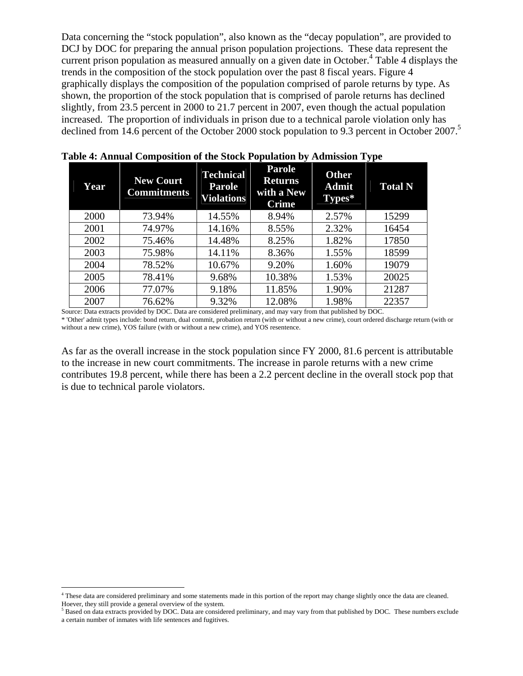Data concerning the "stock population", also known as the "decay population", are provided to DCJ by DOC for preparing the annual prison population projections. These data represent the current prison population as measured annually on a given date in October.<sup>4</sup> Table 4 displays the trends in the composition of the stock population over the past 8 fiscal years. Figure 4 graphically displays the composition of the population comprised of parole returns by type. As shown, the proportion of the stock population that is comprised of parole returns has declined slightly, from 23.5 percent in 2000 to 21.7 percent in 2007, even though the actual population increased. The proportion of individuals in prison due to a technical parole violation only has declined from 14.6 percent of the October 2000 stock population to 9.3 percent in October 2007.<sup>5</sup>

| <b>Year</b> | <b>New Court</b><br><b>Commitments</b> | <b>Technical</b><br><b>Parole</b><br><b>Violations</b> | <b>Parole</b><br><b>Returns</b><br>with a New<br><b>Crime</b> | <b>Other</b><br><b>Admit</b><br>Types* | <b>Total N</b> |
|-------------|----------------------------------------|--------------------------------------------------------|---------------------------------------------------------------|----------------------------------------|----------------|
| 2000        | 73.94%                                 | 14.55%                                                 | 8.94%                                                         | 2.57%                                  | 15299          |
| 2001        | 74.97%                                 | 14.16%                                                 | 8.55%                                                         | 2.32%                                  | 16454          |
| 2002        | 75.46%                                 | 14.48%                                                 | 8.25%                                                         | 1.82%                                  | 17850          |
| 2003        | 75.98%                                 | 14.11%                                                 | 8.36%                                                         | 1.55%                                  | 18599          |
| 2004        | 78.52%                                 | 10.67%                                                 | 9.20%                                                         | 1.60%                                  | 19079          |
| 2005        | 78.41%                                 | 9.68%                                                  | 10.38%                                                        | 1.53%                                  | 20025          |
| 2006        | 77.07%                                 | 9.18%                                                  | 11.85%                                                        | 1.90%                                  | 21287          |
| 2007        | 76.62%                                 | 9.32%                                                  | 12.08%                                                        | 1.98%                                  | 22357          |

| Table 4: Annual Composition of the Stock Population by Admission Type |  |  |  |  |  |  |  |
|-----------------------------------------------------------------------|--|--|--|--|--|--|--|
|-----------------------------------------------------------------------|--|--|--|--|--|--|--|

Source: Data extracts provided by DOC. Data are considered preliminary, and may vary from that published by DOC. \* 'Other' admit types include: bond return, dual commit, probation return (with or without a new crime), court ordered discharge return (with or without a new crime), YOS failure (with or without a new crime), and YOS resentence.

As far as the overall increase in the stock population since FY 2000, 81.6 percent is attributable to the increase in new court commitments. The increase in parole returns with a new crime contributes 19.8 percent, while there has been a 2.2 percent decline in the overall stock pop that is due to technical parole violators.

<sup>&</sup>lt;sup>4</sup> These data are considered preliminary and some statements made in this portion of the report may change slightly once the data are cleaned. Hoever, they still provide a general overview of the system.

 $<sup>5</sup>$  Based on data extracts provided by DOC. Data are considered preliminary, and may vary from that published by DOC. These numbers exclude</sup> a certain number of inmates with life sentences and fugitives.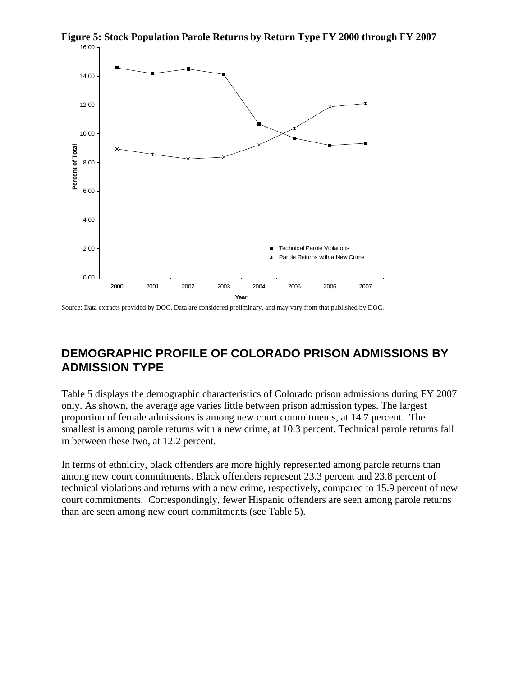

**Figure 5: Stock Population Parole Returns by Return Type FY 2000 through FY 2007** 

Source: Data extracts provided by DOC. Data are considered preliminary, and may vary from that published by DOC.

## **DEMOGRAPHIC PROFILE OF COLORADO PRISON ADMISSIONS BY ADMISSION TYPE**

Table 5 displays the demographic characteristics of Colorado prison admissions during FY 2007 only. As shown, the average age varies little between prison admission types. The largest proportion of female admissions is among new court commitments, at 14.7 percent. The smallest is among parole returns with a new crime, at 10.3 percent. Technical parole returns fall in between these two, at 12.2 percent.

In terms of ethnicity, black offenders are more highly represented among parole returns than among new court commitments. Black offenders represent 23.3 percent and 23.8 percent of technical violations and returns with a new crime, respectively, compared to 15.9 percent of new court commitments. Correspondingly, fewer Hispanic offenders are seen among parole returns than are seen among new court commitments (see Table 5).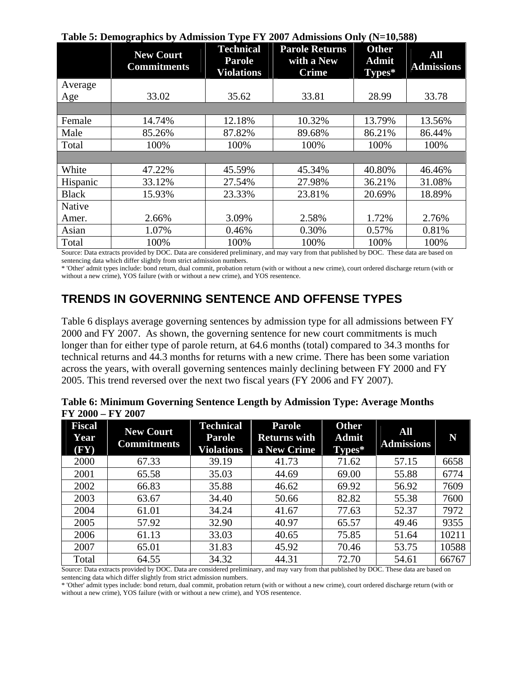|              | Twore of Demographics by Tammsston Type I I 2007 Hammsstons Only $(1,-10,000)$<br><b>New Court</b><br><b>Commitments</b> | <b>Technical</b><br><b>Parole</b><br><b>Violations</b> | <b>Parole Returns</b><br>with a New<br><b>Crime</b> | <b>Other</b><br><b>Admit</b><br>Types* | All<br><b>Admissions</b> |
|--------------|--------------------------------------------------------------------------------------------------------------------------|--------------------------------------------------------|-----------------------------------------------------|----------------------------------------|--------------------------|
| Average      |                                                                                                                          |                                                        |                                                     |                                        |                          |
| Age          | 33.02                                                                                                                    | 35.62                                                  | 33.81                                               | 28.99                                  | 33.78                    |
|              |                                                                                                                          |                                                        |                                                     |                                        |                          |
| Female       | 14.74%                                                                                                                   | 12.18%                                                 | 10.32%                                              | 13.79%                                 | 13.56%                   |
| Male         | 85.26%                                                                                                                   | 87.82%                                                 | 89.68%                                              | 86.21%                                 | 86.44%                   |
| Total        | 100%                                                                                                                     | 100%                                                   | 100%                                                | 100%                                   | 100%                     |
|              |                                                                                                                          |                                                        |                                                     |                                        |                          |
| White        | 47.22%                                                                                                                   | 45.59%                                                 | 45.34%                                              | 40.80%                                 | 46.46%                   |
| Hispanic     | 33.12%                                                                                                                   | 27.54%                                                 | 27.98%                                              | 36.21%                                 | 31.08%                   |
| <b>Black</b> | 15.93%                                                                                                                   | 23.33%                                                 | 23.81%                                              | 20.69%                                 | 18.89%                   |
| Native       |                                                                                                                          |                                                        |                                                     |                                        |                          |
| Amer.        | 2.66%                                                                                                                    | 3.09%                                                  | 2.58%                                               | 1.72%                                  | 2.76%                    |
| Asian        | 1.07%                                                                                                                    | 0.46%                                                  | 0.30%                                               | 0.57%                                  | 0.81%                    |
| Total        | 100%                                                                                                                     | 100%                                                   | 100%                                                | 100%                                   | 100%                     |

|  | Table 5: Demographics by Admission Type FY 2007 Admissions Only (N=10,588) |
|--|----------------------------------------------------------------------------|
|  |                                                                            |

Source: Data extracts provided by DOC. Data are considered preliminary, and may vary from that published by DOC. These data are based on sentencing data which differ slightly from strict admission numbers.

\* 'Other' admit types include: bond return, dual commit, probation return (with or without a new crime), court ordered discharge return (with or without a new crime), YOS failure (with or without a new crime), and YOS resentence.

## **TRENDS IN GOVERNING SENTENCE AND OFFENSE TYPES**

Table 6 displays average governing sentences by admission type for all admissions between FY 2000 and FY 2007. As shown, the governing sentence for new court commitments is much longer than for either type of parole return, at 64.6 months (total) compared to 34.3 months for technical returns and 44.3 months for returns with a new crime. There has been some variation across the years, with overall governing sentences mainly declining between FY 2000 and FY 2005. This trend reversed over the next two fiscal years (FY 2006 and FY 2007).

|                     | Table 6: Minimum Governing Sentence Length by Admission Type: Average Months |                         |                        |  |
|---------------------|------------------------------------------------------------------------------|-------------------------|------------------------|--|
| $FY 2000 - FY 2007$ |                                                                              |                         |                        |  |
| <b>Fiscal</b>       | $N_{\text{max}}$ $\Omega_{\text{max}}$                                       | <b>Technical Parole</b> | <b>Other</b><br>a a bh |  |

| <b>Fiscal</b><br><b>Year</b><br>$(\mathbf{F}\mathbf{Y})$ | <b>New Court</b><br><b>Commitments</b> | <b>Technical</b><br><b>Parole</b><br><b>Violations</b> | <b>Parole</b><br><b>Returns with</b><br>a New Crime | <b>Other</b><br><b>Admit</b><br>Types* | <b>All</b><br><b>Admissions</b> | N     |
|----------------------------------------------------------|----------------------------------------|--------------------------------------------------------|-----------------------------------------------------|----------------------------------------|---------------------------------|-------|
| 2000                                                     | 67.33                                  | 39.19                                                  | 41.73                                               | 71.62                                  | 57.15                           | 6658  |
| 2001                                                     | 65.58                                  | 35.03                                                  | 44.69                                               | 69.00                                  | 55.88                           | 6774  |
| 2002                                                     | 66.83                                  | 35.88                                                  | 46.62                                               | 69.92                                  | 56.92                           | 7609  |
| 2003                                                     | 63.67                                  | 34.40                                                  | 50.66                                               | 82.82                                  | 55.38                           | 7600  |
| 2004                                                     | 61.01                                  | 34.24                                                  | 41.67                                               | 77.63                                  | 52.37                           | 7972  |
| 2005                                                     | 57.92                                  | 32.90                                                  | 40.97                                               | 65.57                                  | 49.46                           | 9355  |
| 2006                                                     | 61.13                                  | 33.03                                                  | 40.65                                               | 75.85                                  | 51.64                           | 10211 |
| 2007                                                     | 65.01                                  | 31.83                                                  | 45.92                                               | 70.46                                  | 53.75                           | 10588 |
| Total                                                    | 64.55                                  | 34.32                                                  | 44.31                                               | 72.70                                  | 54.61                           | 66767 |

Source: Data extracts provided by DOC. Data are considered preliminary, and may vary from that published by DOC. These data are based on sentencing data which differ slightly from strict admission numbers.

\* 'Other' admit types include: bond return, dual commit, probation return (with or without a new crime), court ordered discharge return (with or without a new crime), YOS failure (with or without a new crime), and YOS resentence.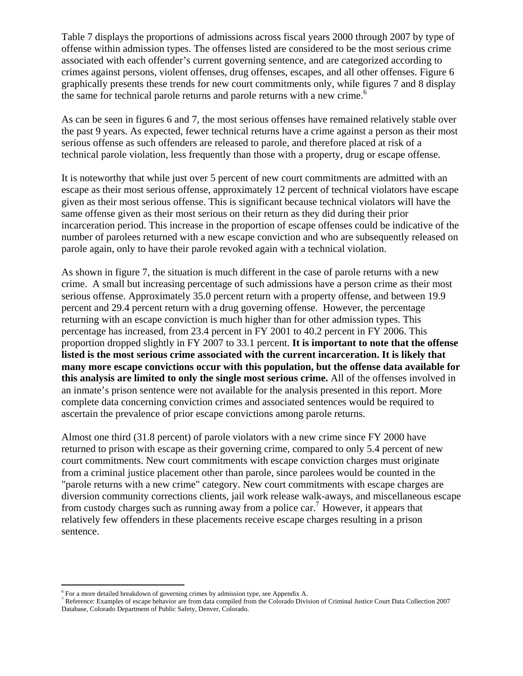Table 7 displays the proportions of admissions across fiscal years 2000 through 2007 by type of offense within admission types. The offenses listed are considered to be the most serious crime associated with each offender's current governing sentence, and are categorized according to crimes against persons, violent offenses, drug offenses, escapes, and all other offenses. Figure 6 graphically presents these trends for new court commitments only, while figures 7 and 8 display the same for technical parole returns and parole returns with a new crime.<sup>6</sup>

As can be seen in figures 6 and 7, the most serious offenses have remained relatively stable over the past 9 years. As expected, fewer technical returns have a crime against a person as their most serious offense as such offenders are released to parole, and therefore placed at risk of a technical parole violation, less frequently than those with a property, drug or escape offense.

It is noteworthy that while just over 5 percent of new court commitments are admitted with an escape as their most serious offense, approximately 12 percent of technical violators have escape given as their most serious offense. This is significant because technical violators will have the same offense given as their most serious on their return as they did during their prior incarceration period. This increase in the proportion of escape offenses could be indicative of the number of parolees returned with a new escape conviction and who are subsequently released on parole again, only to have their parole revoked again with a technical violation.

As shown in figure 7, the situation is much different in the case of parole returns with a new crime. A small but increasing percentage of such admissions have a person crime as their most serious offense. Approximately 35.0 percent return with a property offense, and between 19.9 percent and 29.4 percent return with a drug governing offense. However, the percentage returning with an escape conviction is much higher than for other admission types. This percentage has increased, from 23.4 percent in FY 2001 to 40.2 percent in FY 2006. This proportion dropped slightly in FY 2007 to 33.1 percent. **It is important to note that the offense listed is the most serious crime associated with the current incarceration. It is likely that many more escape convictions occur with this population, but the offense data available for this analysis are limited to only the single most serious crime.** All of the offenses involved in an inmate's prison sentence were not available for the analysis presented in this report. More complete data concerning conviction crimes and associated sentences would be required to ascertain the prevalence of prior escape convictions among parole returns.

Almost one third (31.8 percent) of parole violators with a new crime since FY 2000 have returned to prison with escape as their governing crime, compared to only 5.4 percent of new court commitments. New court commitments with escape conviction charges must originate from a criminal justice placement other than parole, since parolees would be counted in the "parole returns with a new crime" category. New court commitments with escape charges are diversion community corrections clients, jail work release walk-aways, and miscellaneous escape from custody charges such as running away from a police car.<sup>7</sup> However, it appears that relatively few offenders in these placements receive escape charges resulting in a prison sentence.

 $^6$  For a more detailed breakdown of governing crimes by admission type, see Appendix A.<br><sup>7</sup> Poference: Examples of assense behavior are from data sommiled from the Colorado Divis

Reference: Examples of escape behavior are from data compiled from the Colorado Division of Criminal Justice Court Data Collection 2007 Database, Colorado Department of Public Safety, Denver, Colorado.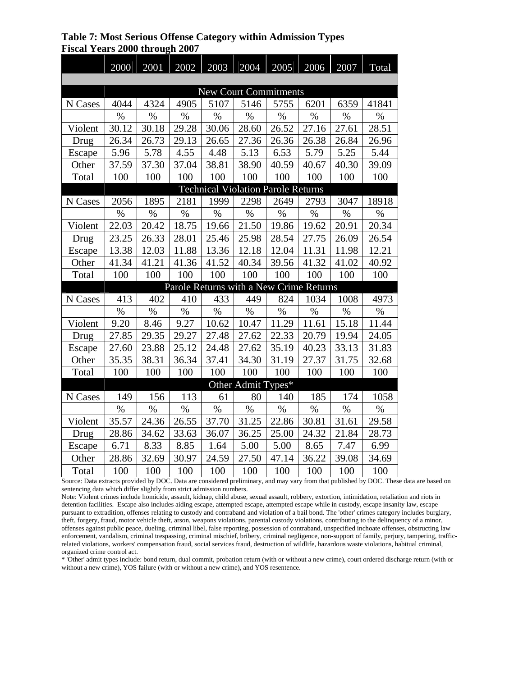**Table 7: Most Serious Offense Category within Admission Types Fiscal Years 2000 through 2007** 

|                                         | 2000  | 2001  | 2002  | 2003                                      | 2004               | 2005  | 2006  | 2007  | Total |  |
|-----------------------------------------|-------|-------|-------|-------------------------------------------|--------------------|-------|-------|-------|-------|--|
|                                         |       |       |       |                                           |                    |       |       |       |       |  |
|                                         |       |       |       | <b>New Court Commitments</b>              |                    |       |       |       |       |  |
| N Cases                                 | 4044  | 4324  | 4905  | 5107                                      | 5146               | 5755  | 6201  | 6359  | 41841 |  |
|                                         | $\%$  | $\%$  | $\%$  | $\%$                                      | $\%$               | $\%$  | $\%$  | $\%$  | %     |  |
| Violent                                 | 30.12 | 30.18 | 29.28 | 30.06                                     | 28.60              | 26.52 | 27.16 | 27.61 | 28.51 |  |
| Drug                                    | 26.34 | 26.73 | 29.13 | 26.65                                     | 27.36              | 26.36 | 26.38 | 26.84 | 26.96 |  |
| Escape                                  | 5.96  | 5.78  | 4.55  | 4.48                                      | 5.13               | 6.53  | 5.79  | 5.25  | 5.44  |  |
| Other                                   | 37.59 | 37.30 | 37.04 | 38.81                                     | 38.90              | 40.59 | 40.67 | 40.30 | 39.09 |  |
| Total                                   | 100   | 100   | 100   | 100                                       | 100                | 100   | 100   | 100   | 100   |  |
|                                         |       |       |       | <b>Technical Violation Parole Returns</b> |                    |       |       |       |       |  |
| N Cases                                 | 2056  | 1895  | 2181  | 1999                                      | 2298               | 2649  | 2793  | 3047  | 18918 |  |
|                                         | $\%$  | %     | $\%$  | $\%$                                      | $\%$               | $\%$  | $\%$  | $\%$  | $\%$  |  |
| Violent                                 | 22.03 | 20.42 | 18.75 | 19.66                                     | 21.50              | 19.86 | 19.62 | 20.91 | 20.34 |  |
| Drug                                    | 23.25 | 26.33 | 28.01 | 25.46                                     | 25.98              | 28.54 | 27.75 | 26.09 | 26.54 |  |
| Escape                                  | 13.38 | 12.03 | 11.88 | 13.36                                     | 12.18              | 12.04 | 11.31 | 11.98 | 12.21 |  |
| Other                                   | 41.34 | 41.21 | 41.36 | 41.52                                     | 40.34              | 39.56 | 41.32 | 41.02 | 40.92 |  |
| Total                                   | 100   | 100   | 100   | 100                                       | 100                | 100   | 100   | 100   | 100   |  |
| Parole Returns with a New Crime Returns |       |       |       |                                           |                    |       |       |       |       |  |
| N Cases                                 | 413   | 402   | 410   | 433                                       | 449                | 824   | 1034  | 1008  | 4973  |  |
|                                         | $\%$  | $\%$  | $\%$  | $\%$                                      | $\%$               | $\%$  | $\%$  | $\%$  | $\%$  |  |
| Violent                                 | 9.20  | 8.46  | 9.27  | 10.62                                     | 10.47              | 11.29 | 11.61 | 15.18 | 11.44 |  |
| Drug                                    | 27.85 | 29.35 | 29.27 | 27.48                                     | 27.62              | 22.33 | 20.79 | 19.94 | 24.05 |  |
| Escape                                  | 27.60 | 23.88 | 25.12 | 24.48                                     | 27.62              | 35.19 | 40.23 | 33.13 | 31.83 |  |
| Other                                   | 35.35 | 38.31 | 36.34 | 37.41                                     | 34.30              | 31.19 | 27.37 | 31.75 | 32.68 |  |
| Total                                   | 100   | 100   | 100   | 100                                       | 100                | 100   | 100   | 100   | 100   |  |
|                                         |       |       |       |                                           | Other Admit Types* |       |       |       |       |  |
| N Cases                                 | 149   | 156   | 113   | 61                                        | 80                 | 140   | 185   | 174   | 1058  |  |
|                                         | $\%$  | $\%$  | $\%$  | $\%$                                      | $\%$               | $\%$  | $\%$  | $\%$  | $\%$  |  |
| Violent                                 | 35.57 | 24.36 | 26.55 | 37.70                                     | 31.25              | 22.86 | 30.81 | 31.61 | 29.58 |  |
| Drug                                    | 28.86 | 34.62 | 33.63 | 36.07                                     | 36.25              | 25.00 | 24.32 | 21.84 | 28.73 |  |
| Escape                                  | 6.71  | 8.33  | 8.85  | 1.64                                      | 5.00               | 5.00  | 8.65  | 7.47  | 6.99  |  |
| Other                                   | 28.86 | 32.69 | 30.97 | 24.59                                     | 27.50              | 47.14 | 36.22 | 39.08 | 34.69 |  |
| Total                                   | 100   | 100   | 100   | 100                                       | 100                | 100   | 100   | 100   | 100   |  |

Source: Data extracts provided by DOC. Data are considered preliminary, and may vary from that published by DOC. These data are based on sentencing data which differ slightly from strict admission numbers.

Note: Violent crimes include homicide, assault, kidnap, child abuse, sexual assault, robbery, extortion, intimidation, retaliation and riots in detention facilities. Escape also includes aiding escape, attempted escape, attempted escape while in custody, escape insanity law, escape pursuant to extradition, offenses relating to custody and contraband and violation of a bail bond. The 'other' crimes category includes burglary, theft, forgery, fraud, motor vehicle theft, arson, weapons violations, parental custody violations, contributing to the delinquency of a minor, offenses against public peace, dueling, criminal libel, false reporting, possession of contraband, unspecified inchoate offenses, obstructing law enforcement, vandalism, criminal trespassing, criminal mischief, bribery, criminal negligence, non-support of family, perjury, tampering, trafficrelated violations, workers' compensation fraud, social services fraud, destruction of wildlife, hazardous waste violations, habitual criminal, organized crime control act.

\* 'Other' admit types include: bond return, dual commit, probation return (with or without a new crime), court ordered discharge return (with or without a new crime), YOS failure (with or without a new crime), and YOS resentence.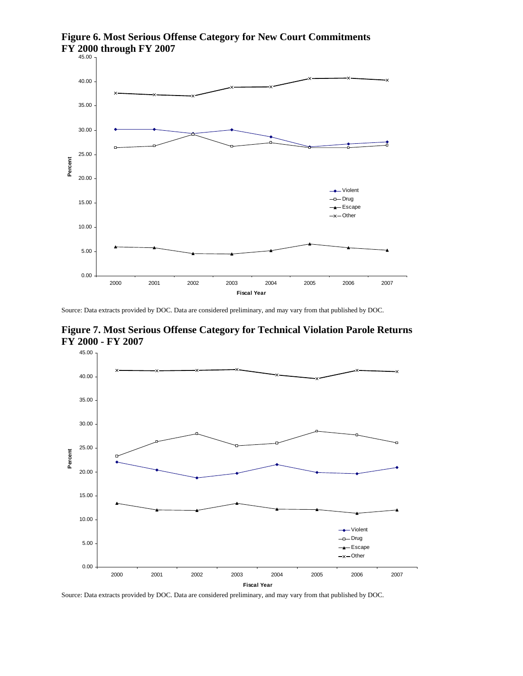

**Figure 6. Most Serious Offense Category for New Court Commitments FY 2000 through FY 2007** 

Source: Data extracts provided by DOC. Data are considered preliminary, and may vary from that published by DOC.





Source: Data extracts provided by DOC. Data are considered preliminary, and may vary from that published by DOC.